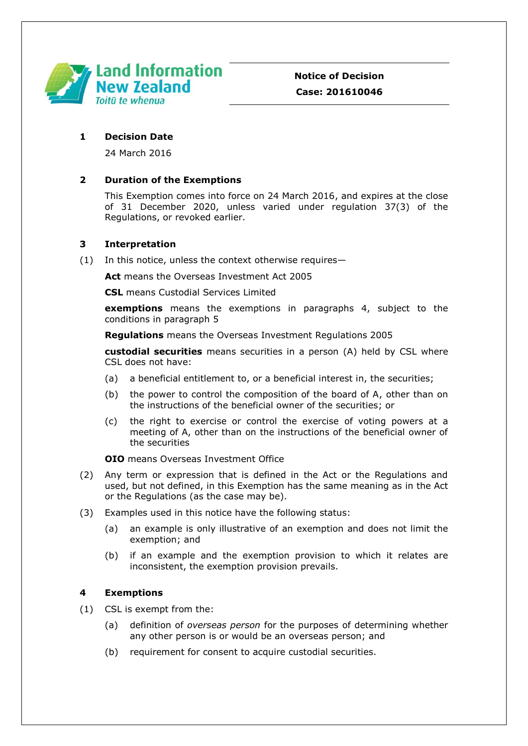

### **1 Decision Date**

24 March 2016

# **2 Duration of the Exemptions**

This Exemption comes into force on 24 March 2016, and expires at the close of 31 December 2020, unless varied under regulation 37(3) of the Regulations, or revoked earlier.

# **3 Interpretation**

(1) In this notice, unless the context otherwise requires—

**Act** means the Overseas Investment Act 2005

**CSL** means Custodial Services Limited

**exemptions** means the exemptions in paragraphs 4, subject to the conditions in paragraph 5

**Regulations** means the Overseas Investment Regulations 2005

**custodial securities** means securities in a person (A) held by CSL where CSL does not have:

- (a) a beneficial entitlement to, or a beneficial interest in, the securities;
- (b) the power to control the composition of the board of A, other than on the instructions of the beneficial owner of the securities; or
- (c) the right to exercise or control the exercise of voting powers at a meeting of A, other than on the instructions of the beneficial owner of the securities

### **OIO** means Overseas Investment Office

- (2) Any term or expression that is defined in the Act or the Regulations and used, but not defined, in this Exemption has the same meaning as in the Act or the Regulations (as the case may be).
- (3) Examples used in this notice have the following status:
	- (a) an example is only illustrative of an exemption and does not limit the exemption; and
	- (b) if an example and the exemption provision to which it relates are inconsistent, the exemption provision prevails.

### **4 Exemptions**

(1) CSL is exempt from the:

- (a) definition of *overseas person* for the purposes of determining whether any other person is or would be an overseas person; and
- (b) requirement for consent to acquire custodial securities.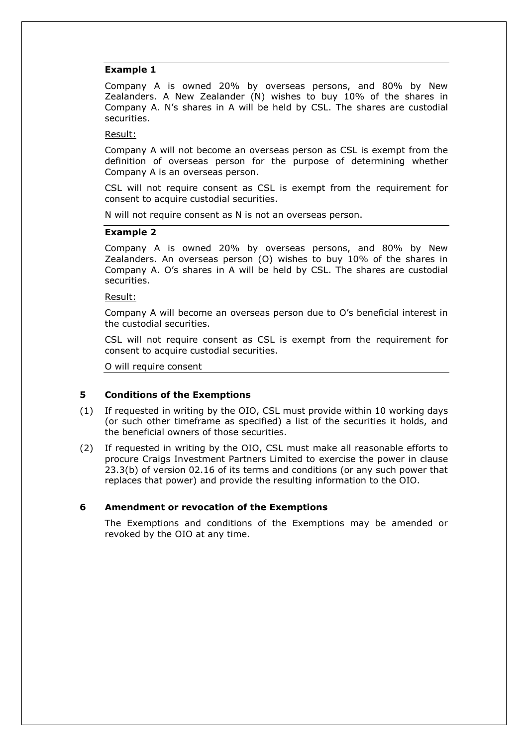#### **Example 1**

Company A is owned 20% by overseas persons, and 80% by New Zealanders. A New Zealander (N) wishes to buy 10% of the shares in Company A. N's shares in A will be held by CSL. The shares are custodial securities.

#### Result:

Company A will not become an overseas person as CSL is exempt from the definition of overseas person for the purpose of determining whether Company A is an overseas person.

CSL will not require consent as CSL is exempt from the requirement for consent to acquire custodial securities.

N will not require consent as N is not an overseas person.

#### **Example 2**

Company A is owned 20% by overseas persons, and 80% by New Zealanders. An overseas person (O) wishes to buy 10% of the shares in Company A. O's shares in A will be held by CSL. The shares are custodial securities.

#### Result:

Company A will become an overseas person due to O's beneficial interest in the custodial securities.

CSL will not require consent as CSL is exempt from the requirement for consent to acquire custodial securities.

O will require consent

### **5 Conditions of the Exemptions**

- (1) If requested in writing by the OIO, CSL must provide within 10 working days (or such other timeframe as specified) a list of the securities it holds, and the beneficial owners of those securities.
- (2) If requested in writing by the OIO, CSL must make all reasonable efforts to procure Craigs Investment Partners Limited to exercise the power in clause 23.3(b) of version 02.16 of its terms and conditions (or any such power that replaces that power) and provide the resulting information to the OIO.

### **6 Amendment or revocation of the Exemptions**

The Exemptions and conditions of the Exemptions may be amended or revoked by the OIO at any time.